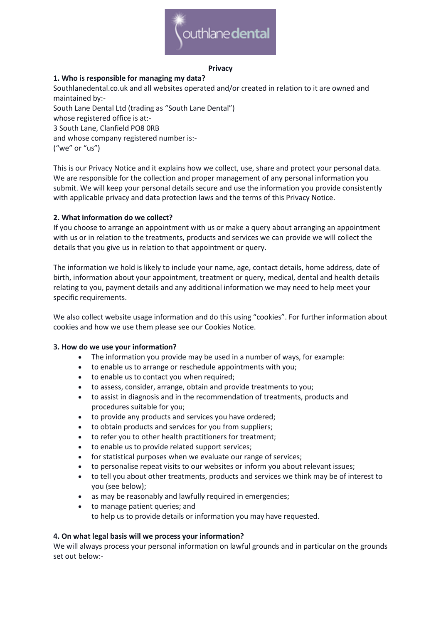

#### **Privacy**

## **1. Who is responsible for managing my data?**

Southlanedental.co.uk and all websites operated and/or created in relation to it are owned and maintained by:-

South Lane Dental Ltd (trading as "South Lane Dental")

whose registered office is at:-

3 South Lane, Clanfield PO8 0RB

and whose company registered number is:-

("we" or "us")

This is our Privacy Notice and it explains how we collect, use, share and protect your personal data. We are responsible for the collection and proper management of any personal information you submit. We will keep your personal details secure and use the information you provide consistently with applicable privacy and data protection laws and the terms of this Privacy Notice.

## **2. What information do we collect?**

If you choose to arrange an appointment with us or make a query about arranging an appointment with us or in relation to the treatments, products and services we can provide we will collect the details that you give us in relation to that appointment or query.

The information we hold is likely to include your name, age, contact details, home address, date of birth, information about your appointment, treatment or query, medical, dental and health details relating to you, payment details and any additional information we may need to help meet your specific requirements.

We also collect website usage information and do this using "cookies". For further information about cookies and how we use them please see our Cookies Notice.

### **3. How do we use your information?**

- The information you provide may be used in a number of ways, for example:
- to enable us to arrange or reschedule appointments with you;
- to enable us to contact you when required;
- to assess, consider, arrange, obtain and provide treatments to you;
- to assist in diagnosis and in the recommendation of treatments, products and procedures suitable for you;
- to provide any products and services you have ordered;
- to obtain products and services for you from suppliers;
- to refer you to other health practitioners for treatment;
- to enable us to provide related support services;
- for statistical purposes when we evaluate our range of services;
- to personalise repeat visits to our websites or inform you about relevant issues;
- to tell you about other treatments, products and services we think may be of interest to you (see below);
- as may be reasonably and lawfully required in emergencies;
- to manage patient queries; and to help us to provide details or information you may have requested.

# **4. On what legal basis will we process your information?**

We will always process your personal information on lawful grounds and in particular on the grounds set out below:-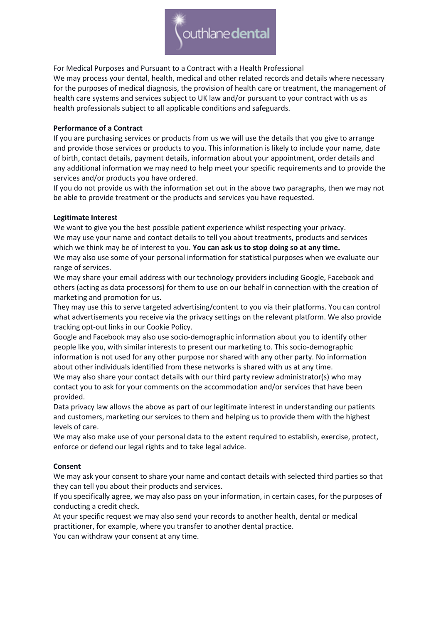

For Medical Purposes and Pursuant to a Contract with a Health Professional We may process your dental, health, medical and other related records and details where necessary for the purposes of medical diagnosis, the provision of health care or treatment, the management of health care systems and services subject to UK law and/or pursuant to your contract with us as health professionals subject to all applicable conditions and safeguards.

## **Performance of a Contract**

If you are purchasing services or products from us we will use the details that you give to arrange and provide those services or products to you. This information is likely to include your name, date of birth, contact details, payment details, information about your appointment, order details and any additional information we may need to help meet your specific requirements and to provide the services and/or products you have ordered.

If you do not provide us with the information set out in the above two paragraphs, then we may not be able to provide treatment or the products and services you have requested.

### **Legitimate Interest**

We want to give you the best possible patient experience whilst respecting your privacy. We may use your name and contact details to tell you about treatments, products and services which we think may be of interest to you. **You can ask us to stop doing so at any time.**

We may also use some of your personal information for statistical purposes when we evaluate our range of services.

We may share your email address with our technology providers including Google, Facebook and others (acting as data processors) for them to use on our behalf in connection with the creation of marketing and promotion for us.

They may use this to serve targeted advertising/content to you via their platforms. You can control what advertisements you receive via the privacy settings on the relevant platform. We also provide tracking opt-out links in our Cookie Policy.

Google and Facebook may also use socio-demographic information about you to identify other people like you, with similar interests to present our marketing to. This socio-demographic information is not used for any other purpose nor shared with any other party. No information about other individuals identified from these networks is shared with us at any time.

We may also share your contact details with our third party review administrator(s) who may contact you to ask for your comments on the accommodation and/or services that have been provided.

Data privacy law allows the above as part of our legitimate interest in understanding our patients and customers, marketing our services to them and helping us to provide them with the highest levels of care.

We may also make use of your personal data to the extent required to establish, exercise, protect, enforce or defend our legal rights and to take legal advice.

### **Consent**

We may ask your consent to share your name and contact details with selected third parties so that they can tell you about their products and services.

If you specifically agree, we may also pass on your information, in certain cases, for the purposes of conducting a credit check.

At your specific request we may also send your records to another health, dental or medical practitioner, for example, where you transfer to another dental practice.

You can withdraw your consent at any time.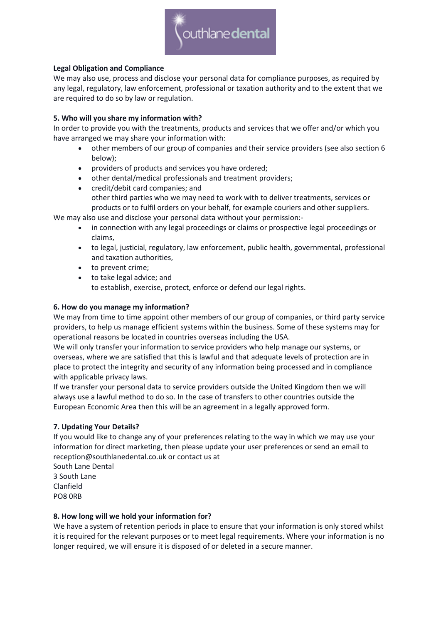

## **Legal Obligation and Compliance**

We may also use, process and disclose your personal data for compliance purposes, as required by any legal, regulatory, law enforcement, professional or taxation authority and to the extent that we are required to do so by law or regulation.

## **5. Who will you share my information with?**

In order to provide you with the treatments, products and services that we offer and/or which you have arranged we may share your information with:

- other members of our group of companies and their service providers (see also section 6 below);
- providers of products and services you have ordered;
- other dental/medical professionals and treatment providers;
- credit/debit card companies; and other third parties who we may need to work with to deliver treatments, services or products or to fulfil orders on your behalf, for example couriers and other suppliers.

We may also use and disclose your personal data without your permission:-

- in connection with any legal proceedings or claims or prospective legal proceedings or claims,
- to legal, justicial, regulatory, law enforcement, public health, governmental, professional and taxation authorities,
- to prevent crime;
- to take legal advice; and to establish, exercise, protect, enforce or defend our legal rights.

### **6. How do you manage my information?**

We may from time to time appoint other members of our group of companies, or third party service providers, to help us manage efficient systems within the business. Some of these systems may for operational reasons be located in countries overseas including the USA.

We will only transfer your information to service providers who help manage our systems, or overseas, where we are satisfied that this is lawful and that adequate levels of protection are in place to protect the integrity and security of any information being processed and in compliance with applicable privacy laws.

If we transfer your personal data to service providers outside the United Kingdom then we will always use a lawful method to do so. In the case of transfers to other countries outside the European Economic Area then this will be an agreement in a legally approved form.

### **7. Updating Your Details?**

If you would like to change any of your preferences relating to the way in which we may use your information for direct marketing, then please update your user preferences or send an email to reception@southlanedental.co.uk or contact us at

South Lane Dental 3 South Lane Clanfield PO8 0RB

### **8. How long will we hold your information for?**

We have a system of retention periods in place to ensure that your information is only stored whilst it is required for the relevant purposes or to meet legal requirements. Where your information is no longer required, we will ensure it is disposed of or deleted in a secure manner.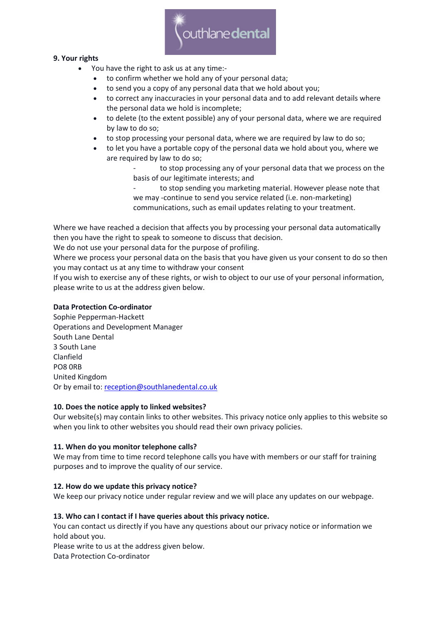

## **9. Your rights**

- You have the right to ask us at any time:
	- to confirm whether we hold any of your personal data;
	- to send you a copy of any personal data that we hold about you;
	- to correct any inaccuracies in your personal data and to add relevant details where the personal data we hold is incomplete;
	- to delete (to the extent possible) any of your personal data, where we are required by law to do so;
	- to stop processing your personal data, where we are required by law to do so;
	- to let you have a portable copy of the personal data we hold about you, where we are required by law to do so;

to stop processing any of your personal data that we process on the basis of our legitimate interests; and

to stop sending you marketing material. However please note that we may -continue to send you service related (i.e. non-marketing) communications, such as email updates relating to your treatment.

Where we have reached a decision that affects you by processing your personal data automatically then you have the right to speak to someone to discuss that decision.

We do not use your personal data for the purpose of profiling.

Where we process your personal data on the basis that you have given us your consent to do so then you may contact us at any time to withdraw your consent

If you wish to exercise any of these rights, or wish to object to our use of your personal information, please write to us at the address given below.

### **Data Protection Co-ordinator**

Sophie Pepperman-Hackett Operations and Development Manager South Lane Dental 3 South Lane Clanfield PO8 0RB United Kingdom Or by email to: [reception@southlanedental.co.uk](mailto:reception@southlanedental.co.uk)

### **10. Does the notice apply to linked websites?**

Our website(s) may contain links to other websites. This privacy notice only applies to this website so when you link to other websites you should read their own privacy policies.

### **11. When do you monitor telephone calls?**

We may from time to time record telephone calls you have with members or our staff for training purposes and to improve the quality of our service.

### **12. How do we update this privacy notice?**

We keep our privacy notice under regular review and we will place any updates on our webpage.

### **13. Who can I contact if I have queries about this privacy notice.**

You can contact us directly if you have any questions about our privacy notice or information we hold about you.

Please write to us at the address given below.

Data Protection Co-ordinator